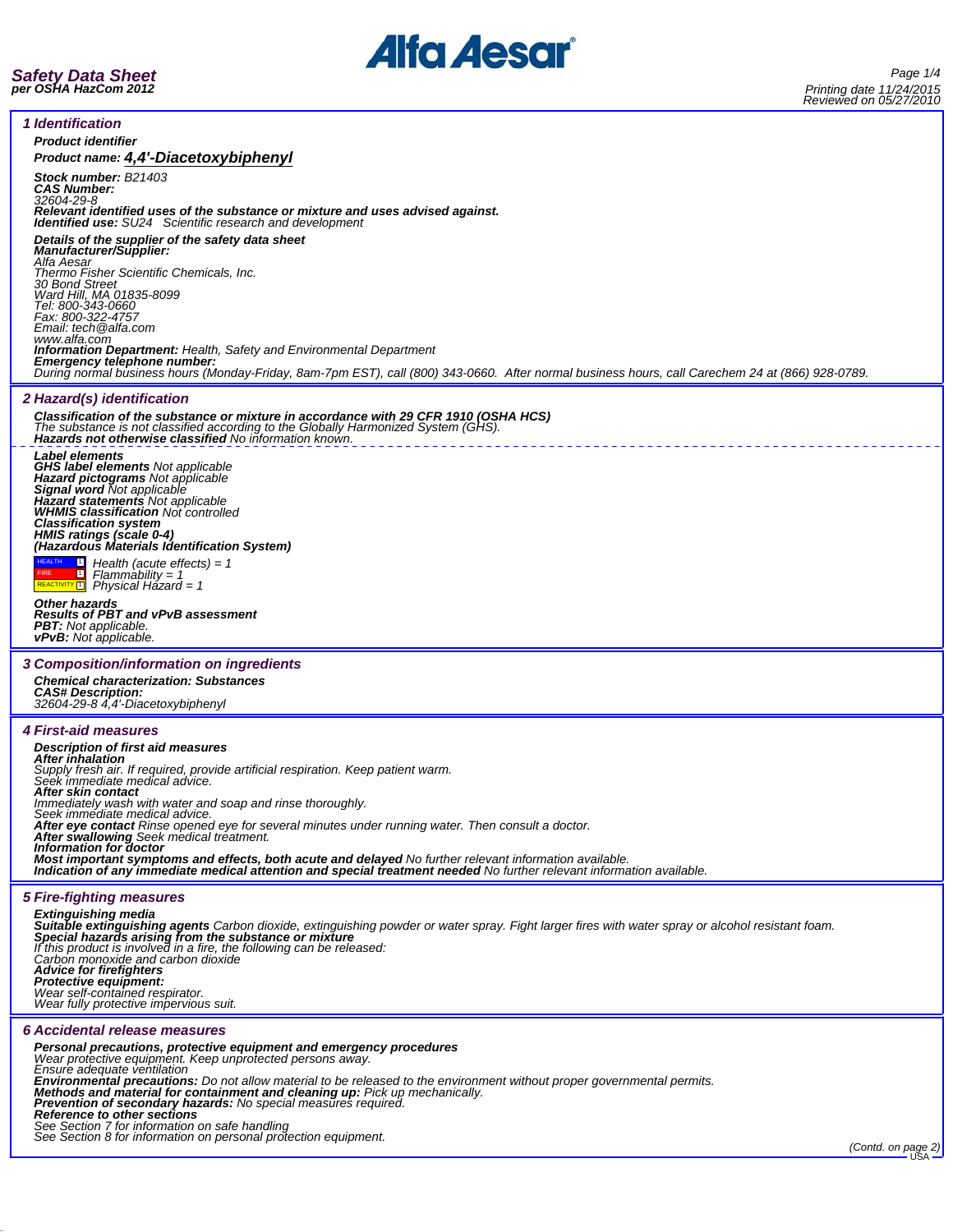



| <i><b>1 Identification</b></i>                                                                                                                                                                                                                                                                                                                   |  |
|--------------------------------------------------------------------------------------------------------------------------------------------------------------------------------------------------------------------------------------------------------------------------------------------------------------------------------------------------|--|
| <b>Product identifier</b>                                                                                                                                                                                                                                                                                                                        |  |
| Product name: 4,4'-Diacetoxybiphenyl                                                                                                                                                                                                                                                                                                             |  |
| Stock number: B21403<br><b>CAS Number:</b><br>32604-29-8<br>Relevant identified uses of the substance or mixture and uses advised against.<br>Identified use: SU24 Scientific research and development                                                                                                                                           |  |
| Details of the supplier of the safety data sheet<br>Manufacturer/Supplier:<br>Alfa Aesar<br>Thermo Fisher Scientific Chemicals, Inc.<br>30 Bond Street<br>Ward Hill, MA 01835-8099                                                                                                                                                               |  |
| Tel: 800-343-0660<br>Fax: 800-322-4757<br>Email: tech @alfa.com<br>www.alfa.com<br>Information Department: Health, Safety and Environmental Department                                                                                                                                                                                           |  |
| Emergency telephone number:<br>During normal business hours (Monday-Friday, 8am-7pm EST), call (800) 343-0660. After normal business hours, call Carechem 24 at (866) 928-0789.                                                                                                                                                                  |  |
| 2 Hazard(s) identification                                                                                                                                                                                                                                                                                                                       |  |
| Classification of the substance or mixture in accordance with 29 CFR 1910 (OSHA HCS)<br>The substance is not classified according to the Globally Harmonized System (GHS).<br>Hazards not otherwise classified No information known.                                                                                                             |  |
| Label elements<br><b>GHS label elements Not applicable</b><br>Hazard pictograms Not applicable<br>Signal word Not applicable<br>Hazard statements Not applicable<br>WHMIS classification Not controlled                                                                                                                                          |  |
| <b>Classification system</b>                                                                                                                                                                                                                                                                                                                     |  |
| HMIS ratings (scale 0-4)<br>(Hazardous Materials Identification System)<br>$\Box$ Health (acute effects) = 1<br>$Flammablity = 1$<br>$\boxed{1}$                                                                                                                                                                                                 |  |
| REACTIVITY <sup>[1]</sup><br>Physical Házard = 1<br><b>Other hazards</b><br><b>Results of PBT and vPvB assessment</b><br><b>PBT:</b> Not applicable.                                                                                                                                                                                             |  |
| <b>vPvB:</b> Not applicable.                                                                                                                                                                                                                                                                                                                     |  |
| 3 Composition/information on ingredients                                                                                                                                                                                                                                                                                                         |  |
| <b>Chemical characterization: Substances</b><br><b>CAS# Description:</b><br>32604-29-8 4,4'-Diacetoxybiphenyl                                                                                                                                                                                                                                    |  |
|                                                                                                                                                                                                                                                                                                                                                  |  |
| <i><b>4 First-aid measures</b></i>                                                                                                                                                                                                                                                                                                               |  |
| <b>Description of first aid measures</b><br><b>After inhalation</b><br>Supply fresh air. If required, provide artificial respiration. Keep patient warm.<br>Seek immediate medical advice.                                                                                                                                                       |  |
| After skin contact<br>Immediately wash with water and soap and rinse thoroughly.                                                                                                                                                                                                                                                                 |  |
| Seek immediate medical advice.<br>After eye contact Rinse opened eye for several minutes under running water. Then consult a doctor.                                                                                                                                                                                                             |  |
| After swallowing Seek medical treatment.                                                                                                                                                                                                                                                                                                         |  |
| Information for doctor<br>Most important symptoms and effects, both acute and delayed No further relevant information available.<br>Indication of any immediate medical attention and special treatment needed No further relevant information available.                                                                                        |  |
|                                                                                                                                                                                                                                                                                                                                                  |  |
| <b>5 Fire-fighting measures</b>                                                                                                                                                                                                                                                                                                                  |  |
| Extinguishing media<br>Suitable extinguishing agents Carbon dioxide, extinguishing powder or water spray. Fight larger fires with water spray or alcohol resistant foam.<br>Special hazards arising from the substance or mixture<br>If this product is involved in a fire, the following can be released:<br>Carbon monoxide and carbon dioxide |  |
| <b>Advice for firefighters</b><br>Protective equipment:<br>Wear self-contained respirator.<br>Wear fully protective impervious suit.                                                                                                                                                                                                             |  |
| 6 Accidental release measures                                                                                                                                                                                                                                                                                                                    |  |
|                                                                                                                                                                                                                                                                                                                                                  |  |
| Personal precautions, protective equipment and emergency procedures<br>Wear protective equipment. Keep unprotected persons away.<br>Ensure adequate ventilation                                                                                                                                                                                  |  |
| Environmental precautions: Do not allow material to be released to the environment without proper governmental permits.                                                                                                                                                                                                                          |  |
|                                                                                                                                                                                                                                                                                                                                                  |  |
| Methods and material for containment and cleaning up: Pick up mechanically.<br>Prevention of secondary hazards: No special measures required.                                                                                                                                                                                                    |  |
| Reference to other sections<br>See Section 7 for information on safe handling<br>See Section 8 for information on personal protection equipment.                                                                                                                                                                                                 |  |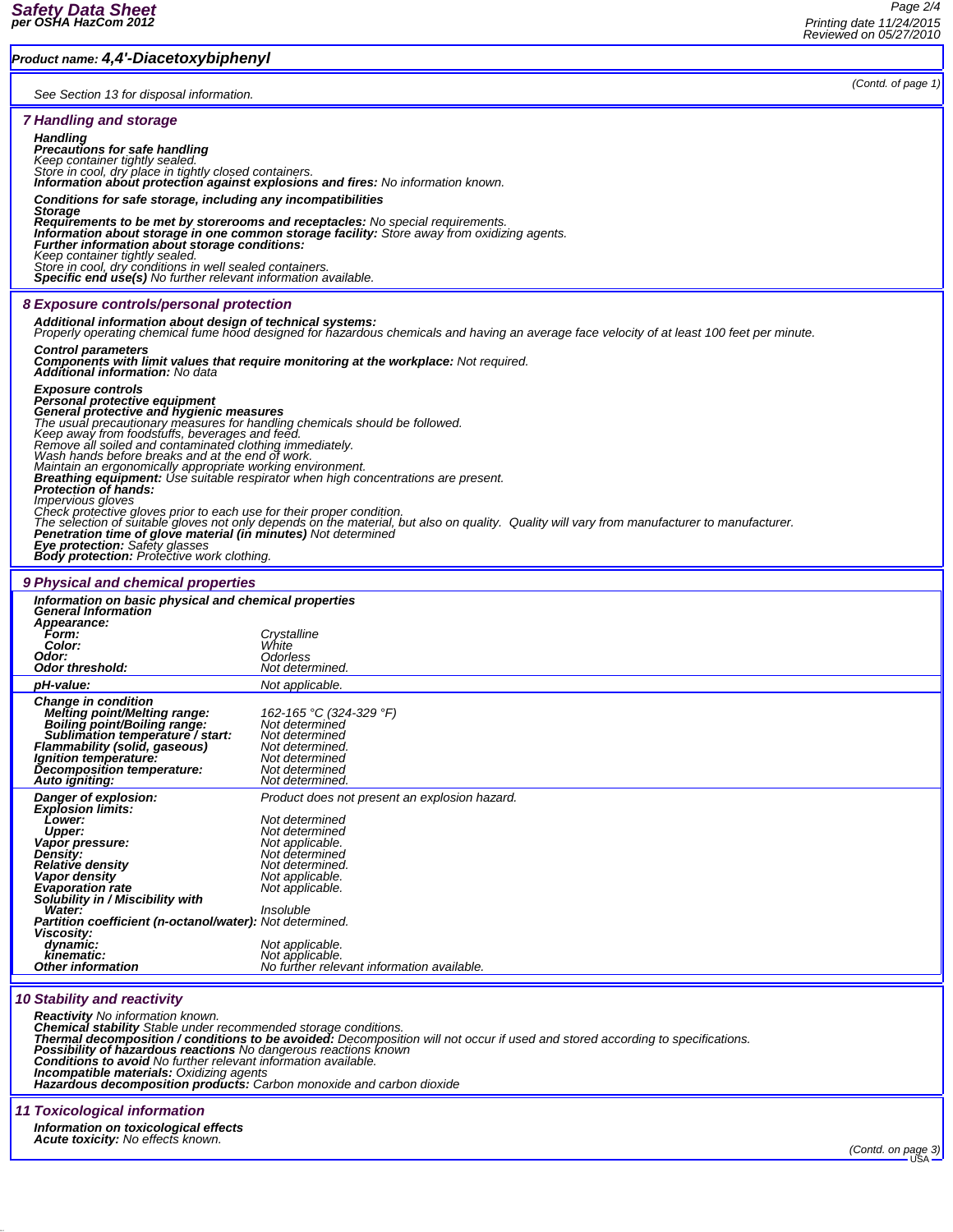## *Product name: 4,4'-Diacetoxybiphenyl*

| See Section 13 for disposal information.                                                                                                                                                                                                                                                                                                                                                                                                                                                                                                                                                                                                                                                                                                                                                                                                                                                                                                                              |                                                                                                                                                                                                                                                                                  | (Contd. of page 1) |  |  |
|-----------------------------------------------------------------------------------------------------------------------------------------------------------------------------------------------------------------------------------------------------------------------------------------------------------------------------------------------------------------------------------------------------------------------------------------------------------------------------------------------------------------------------------------------------------------------------------------------------------------------------------------------------------------------------------------------------------------------------------------------------------------------------------------------------------------------------------------------------------------------------------------------------------------------------------------------------------------------|----------------------------------------------------------------------------------------------------------------------------------------------------------------------------------------------------------------------------------------------------------------------------------|--------------------|--|--|
| <b>7 Handling and storage</b>                                                                                                                                                                                                                                                                                                                                                                                                                                                                                                                                                                                                                                                                                                                                                                                                                                                                                                                                         |                                                                                                                                                                                                                                                                                  |                    |  |  |
| <b>Handling</b><br><b>Precautions for safe handling</b><br>Keep container tightly sealed.<br>Store in cool, dry place in tightly closed containers.<br><b>Information about protection against explosions and fires:</b> No information known.<br>Conditions for safe storage, including any incompatibilities<br><b>Storage</b><br><b>Requirements to be met by storerooms and receptacles:</b> No special requirements.<br>Information about storage in one common storage facility: Store away from oxidizing agents.<br>Further information about storage conditions:<br>Keep container tightly sealed.<br>Store in cool, dry conditions in well sealed containers.                                                                                                                                                                                                                                                                                               |                                                                                                                                                                                                                                                                                  |                    |  |  |
| <b>Specific end use(s)</b> No further relevant information available.<br>8 Exposure controls/personal protection                                                                                                                                                                                                                                                                                                                                                                                                                                                                                                                                                                                                                                                                                                                                                                                                                                                      |                                                                                                                                                                                                                                                                                  |                    |  |  |
| Additional information about design of technical systems:<br>Properly operating chemical fume hood designed for hazardous chemicals and having an average face velocity of at least 100 feet per minute.                                                                                                                                                                                                                                                                                                                                                                                                                                                                                                                                                                                                                                                                                                                                                              |                                                                                                                                                                                                                                                                                  |                    |  |  |
| <b>Control parameters</b><br><b>Components with limit values that require monitoring at the workplace:</b> Not required.<br><b>Additional information:</b> No data                                                                                                                                                                                                                                                                                                                                                                                                                                                                                                                                                                                                                                                                                                                                                                                                    |                                                                                                                                                                                                                                                                                  |                    |  |  |
| <b>Exposure controls</b><br>Personal protective equipment<br>General protective and hygienic measures<br>The usual precautionary measures for handling chemicals should be followed.<br>Keep away from foodstuffs, beverages and feed.<br>Remove all soiled and contaminated clothing immediately.<br>Wash hands before breaks and at the end of work.<br>Maintain an ergonomically appropriate working environment.<br><b>Breathing equipment:</b> Use suitable respirator when high concentrations are present.<br>Protection of hands:<br><i><b>Impervious gloves</b></i><br>Check protective gloves prior to each use for their proper condition.<br>The selection of suitable gloves not only depends on the material, but also on quality. Quality will vary from manufacturer to manufacturer.<br><b>Penetration time of glove material (in minutes)</b> Not determined<br>Eye protection: Safety glasses<br><b>Body protection:</b> Protective work clothing. |                                                                                                                                                                                                                                                                                  |                    |  |  |
| 9 Physical and chemical properties                                                                                                                                                                                                                                                                                                                                                                                                                                                                                                                                                                                                                                                                                                                                                                                                                                                                                                                                    |                                                                                                                                                                                                                                                                                  |                    |  |  |
| Information on basic physical and chemical properties<br><b>General Information</b><br>Appearance:<br>Form:<br>Color:<br>Odor:                                                                                                                                                                                                                                                                                                                                                                                                                                                                                                                                                                                                                                                                                                                                                                                                                                        | Crystalline<br>White<br>Odorless                                                                                                                                                                                                                                                 |                    |  |  |
| Odor threshold:                                                                                                                                                                                                                                                                                                                                                                                                                                                                                                                                                                                                                                                                                                                                                                                                                                                                                                                                                       | Not determined.                                                                                                                                                                                                                                                                  |                    |  |  |
| pH-value:<br><b>Change in condition</b><br><b>Melting point/Melting range:</b><br>Boiling point/Boiling range:<br>Sublimation temperature / start:<br><b>Flammability (solid, gaseous)</b><br>Ignition temperature:<br>Decomposition temperature:<br>Auto igniting:                                                                                                                                                                                                                                                                                                                                                                                                                                                                                                                                                                                                                                                                                                   | Not applicable.<br>162-165 °C (324-329 °F)<br>Not determined<br>Not determined<br>Not determined.<br>Not determined<br>Not determined<br>Not determined.                                                                                                                         |                    |  |  |
| Danger of explosion:<br><b>Explosion limits:</b><br><b>Lower:</b><br><b>Upper:</b><br>Vapor pressure:<br>Density:<br><b>Relative density</b><br>Vapor density<br><b>Evaporation</b> rate<br>Solubility in / Miscibility with<br>Water:<br><b>Partition coefficient (n-octanol/water):</b> Not determined.<br>Viscosity:<br>dynamic:<br>kinematic:<br>Other information                                                                                                                                                                                                                                                                                                                                                                                                                                                                                                                                                                                                | Product does not present an explosion hazard.<br>Not determined<br>Not determined<br>Not applicable.<br>Not determined<br>Not determined.<br>Not applicable.<br>Not applicable.<br>Insoluble<br>Not applicable.<br>Not applicable.<br>No further relevant information available. |                    |  |  |
| <b>10 Stability and reactivity</b><br>Reactivity No information known.<br><b>Chemical stability</b> Stable under recommended storage conditions.<br><b>Thermal decomposition / conditions to be avoided:</b> Decomposition will not occur if used and stored according to specifications.<br>Possibility of hazardous reactions No dangerous reactions known<br>Conditions to avoid No further relevant information available.<br>Incompatible materials: Oxidizing agents<br><b>Hazardous decomposition products:</b> Carbon monoxide and carbon dioxide                                                                                                                                                                                                                                                                                                                                                                                                             |                                                                                                                                                                                                                                                                                  |                    |  |  |

## *11 Toxicological information*

*Information on toxicological effects Acute toxicity: No effects known.*

*(Contd. on page 3)*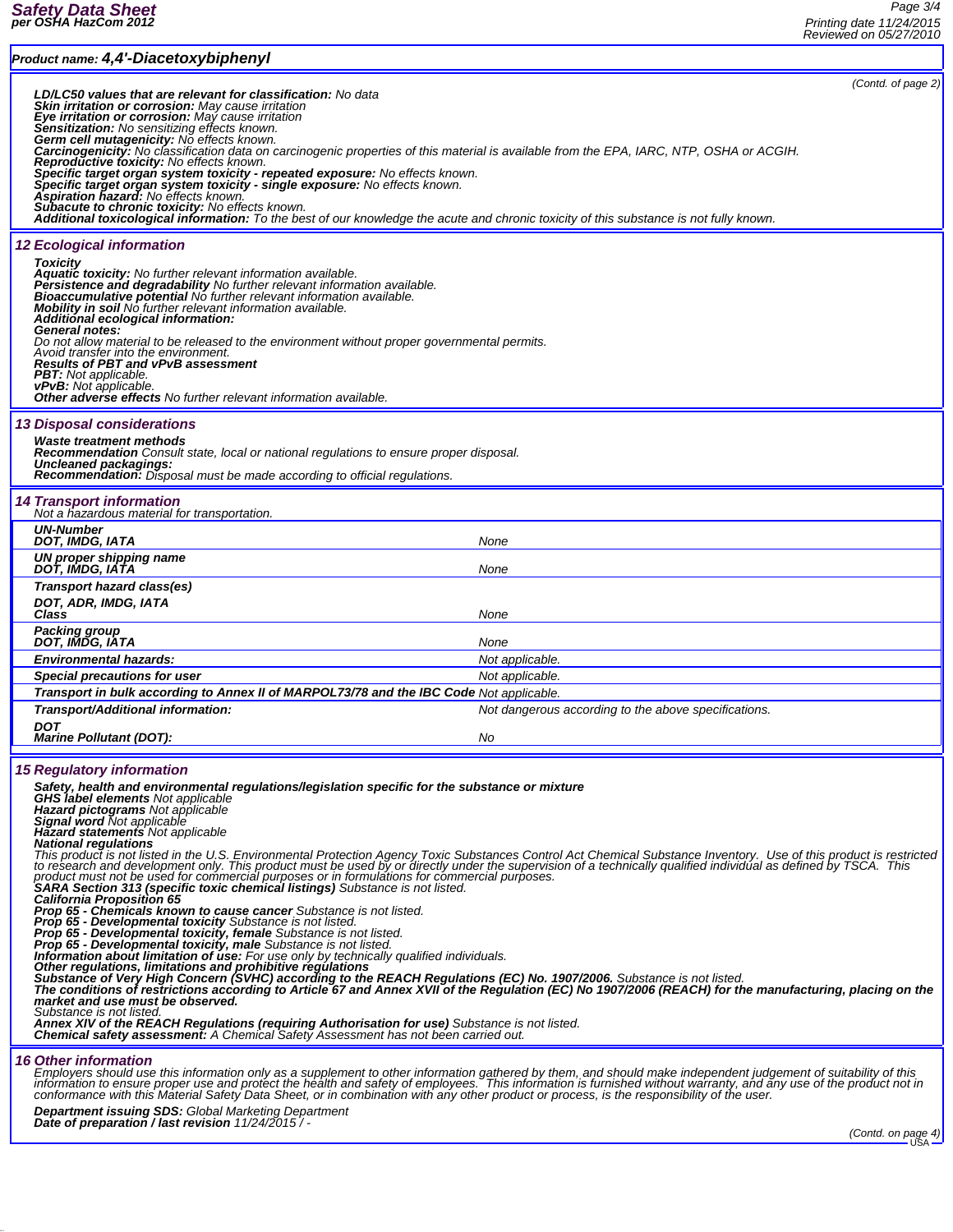| Product name: 4,4'-Diacetoxybiphenyl                                                                                                                                                                                                                                                                                                                                                                                                                                                                                                                                                                                                                                                                                                                                                                                                                                                                                                                                                                                                                                                                                                                                                                                                                                                                                                                                                                                                                                                                                                                                                                                                                                                                                                                                                                                                                                                                       |                                                                                                                                                                                                                                                                                                                                      |  |
|------------------------------------------------------------------------------------------------------------------------------------------------------------------------------------------------------------------------------------------------------------------------------------------------------------------------------------------------------------------------------------------------------------------------------------------------------------------------------------------------------------------------------------------------------------------------------------------------------------------------------------------------------------------------------------------------------------------------------------------------------------------------------------------------------------------------------------------------------------------------------------------------------------------------------------------------------------------------------------------------------------------------------------------------------------------------------------------------------------------------------------------------------------------------------------------------------------------------------------------------------------------------------------------------------------------------------------------------------------------------------------------------------------------------------------------------------------------------------------------------------------------------------------------------------------------------------------------------------------------------------------------------------------------------------------------------------------------------------------------------------------------------------------------------------------------------------------------------------------------------------------------------------------|--------------------------------------------------------------------------------------------------------------------------------------------------------------------------------------------------------------------------------------------------------------------------------------------------------------------------------------|--|
| LD/LC50 values that are relevant for classification: No data<br><b>Skin irritation or corrosion:</b> May cause irritation<br>Eye irritation or corrosion: May cause irritation<br>Sensitization: No sensitizing effects known.<br>Germ cell mutagenicity: No effects known.<br>Carcinogenicity: No classification data on carcinogenic properties of this material is available from the EPA, IARC, NTP, OSHA or ACGIH<br><b>Reproductive toxicity:</b> No effects known.<br>Specific target organ system toxicity - repeated exposure: No effects known.<br>Specific target organ system toxicity - single exposure: No effects known.<br><b>Aspiration hazard:</b> No effects known.<br>Subacute to chronic toxicity: No effects known.<br>Additional toxicological information: To the best of our knowledge the acute and chronic toxicity of this substance is not fully known.                                                                                                                                                                                                                                                                                                                                                                                                                                                                                                                                                                                                                                                                                                                                                                                                                                                                                                                                                                                                                       | (Contd. of page $2$ )                                                                                                                                                                                                                                                                                                                |  |
| <b>12 Ecological information</b><br><b>Toxicity</b><br><b>Aquatic toxicity:</b> No further relevant information available.<br><b>Persistence and degradability</b> No further relevant information available.<br>Bioaccumulative potential No further relevant information available.<br>Mobility in soil No further relevant information available.<br>Additional ecological information:<br>General notes:<br>Do not allow material to be released to the environment without proper governmental permits.<br>Avoid transfer into the environment.<br><b>Results of PBT and vPvB assessment</b><br><b>PBT:</b> Not applicable.<br><b>vPvB:</b> Not applicable.<br>Other adverse effects No further relevant information available.                                                                                                                                                                                                                                                                                                                                                                                                                                                                                                                                                                                                                                                                                                                                                                                                                                                                                                                                                                                                                                                                                                                                                                       |                                                                                                                                                                                                                                                                                                                                      |  |
| <b>13 Disposal considerations</b><br>Waste treatment methods<br><b>Recommendation</b> Consult state, local or national regulations to ensure proper disposal.<br>Uncleaned packagings:<br><b>Recommendation:</b> Disposal must be made according to official regulations.                                                                                                                                                                                                                                                                                                                                                                                                                                                                                                                                                                                                                                                                                                                                                                                                                                                                                                                                                                                                                                                                                                                                                                                                                                                                                                                                                                                                                                                                                                                                                                                                                                  |                                                                                                                                                                                                                                                                                                                                      |  |
| <b>14 Transport information</b><br>Not a hazardous material for transportation.                                                                                                                                                                                                                                                                                                                                                                                                                                                                                                                                                                                                                                                                                                                                                                                                                                                                                                                                                                                                                                                                                                                                                                                                                                                                                                                                                                                                                                                                                                                                                                                                                                                                                                                                                                                                                            |                                                                                                                                                                                                                                                                                                                                      |  |
| <b>UN-Number</b>                                                                                                                                                                                                                                                                                                                                                                                                                                                                                                                                                                                                                                                                                                                                                                                                                                                                                                                                                                                                                                                                                                                                                                                                                                                                                                                                                                                                                                                                                                                                                                                                                                                                                                                                                                                                                                                                                           |                                                                                                                                                                                                                                                                                                                                      |  |
| DOT, IMDG, IATA<br>UN proper shipping name                                                                                                                                                                                                                                                                                                                                                                                                                                                                                                                                                                                                                                                                                                                                                                                                                                                                                                                                                                                                                                                                                                                                                                                                                                                                                                                                                                                                                                                                                                                                                                                                                                                                                                                                                                                                                                                                 | None                                                                                                                                                                                                                                                                                                                                 |  |
| DOT, IMDG, IATA<br>Transport hazard class(es)<br>DOT, ADR, IMDG, IATA<br>Class                                                                                                                                                                                                                                                                                                                                                                                                                                                                                                                                                                                                                                                                                                                                                                                                                                                                                                                                                                                                                                                                                                                                                                                                                                                                                                                                                                                                                                                                                                                                                                                                                                                                                                                                                                                                                             | None<br>None                                                                                                                                                                                                                                                                                                                         |  |
| Packing group<br>DOT, IMDG, IATA                                                                                                                                                                                                                                                                                                                                                                                                                                                                                                                                                                                                                                                                                                                                                                                                                                                                                                                                                                                                                                                                                                                                                                                                                                                                                                                                                                                                                                                                                                                                                                                                                                                                                                                                                                                                                                                                           | None                                                                                                                                                                                                                                                                                                                                 |  |
| <b>Environmental hazards:</b>                                                                                                                                                                                                                                                                                                                                                                                                                                                                                                                                                                                                                                                                                                                                                                                                                                                                                                                                                                                                                                                                                                                                                                                                                                                                                                                                                                                                                                                                                                                                                                                                                                                                                                                                                                                                                                                                              | Not applicable.                                                                                                                                                                                                                                                                                                                      |  |
| Special precautions for user                                                                                                                                                                                                                                                                                                                                                                                                                                                                                                                                                                                                                                                                                                                                                                                                                                                                                                                                                                                                                                                                                                                                                                                                                                                                                                                                                                                                                                                                                                                                                                                                                                                                                                                                                                                                                                                                               | Not applicable.                                                                                                                                                                                                                                                                                                                      |  |
| Transport in bulk according to Annex II of MARPOL73/78 and the IBC Code Not applicable.                                                                                                                                                                                                                                                                                                                                                                                                                                                                                                                                                                                                                                                                                                                                                                                                                                                                                                                                                                                                                                                                                                                                                                                                                                                                                                                                                                                                                                                                                                                                                                                                                                                                                                                                                                                                                    |                                                                                                                                                                                                                                                                                                                                      |  |
| Transport/Additional information:                                                                                                                                                                                                                                                                                                                                                                                                                                                                                                                                                                                                                                                                                                                                                                                                                                                                                                                                                                                                                                                                                                                                                                                                                                                                                                                                                                                                                                                                                                                                                                                                                                                                                                                                                                                                                                                                          | Not dangerous according to the above specifications.                                                                                                                                                                                                                                                                                 |  |
| <b>DOT</b><br><b>Marine Pollutant (DOT):</b>                                                                                                                                                                                                                                                                                                                                                                                                                                                                                                                                                                                                                                                                                                                                                                                                                                                                                                                                                                                                                                                                                                                                                                                                                                                                                                                                                                                                                                                                                                                                                                                                                                                                                                                                                                                                                                                               | No                                                                                                                                                                                                                                                                                                                                   |  |
| <b>15 Regulatory information</b><br>Safety, health and environmental regulations/legislation specific for the substance or mixture<br><b>GHS label elements</b> Not applicable<br><b>Hazard pictograms</b> Not applicable<br><b>Signal word Not applicable</b><br><b>Hazard statements</b> Not applicable<br><b>National regulations</b><br>This product is not listed in the U.S. Environmental Protection Agency Toxic Substances Control Act Chemical Substance Inventory. Use of this product is restricted<br>to research and development only. This product must be used by or directly under the supervision of a technically qualified individual as defined by TSCA. This<br>product must not be used for commercial purposes or in formulations for commercial purposes.<br>SARA Section 313 (specific toxic chemical listings) Substance is not listed.<br><b>California Proposition 65</b><br>Prop 65 - Chemicals known to cause cancer Substance is not listed.<br>Prop 65 - Developmental toxicity Substance is not listed.<br>Prop 65 - Developmental toxicity, female Substance is not listed.<br><b>Prop 65 - Developmental toxicity, male Substance is not listed.</b><br><b>Information about limitation of use:</b> For use only by technically qualified individuals.<br>Other regulations, limitations and prohibitive regulations<br>Substance of Very High Concern (SVHC) according to the REACH Regulations (EC) No. 1907/2006. Substance is not listed.<br>The conditions of restrictions according to Article 67 and Annex XVII of the Regulation (EC) No 1907/2006 (REACH) for the manufacturing, placing on the<br>market and use must be observed.<br>Substance is not listed.<br>Annex XIV of the REACH Regulations (requiring Authorisation for use) Substance is not listed.<br><b>Chemical safety assessment:</b> A Chemical Safety Assessment has not been carried out. |                                                                                                                                                                                                                                                                                                                                      |  |
| <b>16 Other information</b>                                                                                                                                                                                                                                                                                                                                                                                                                                                                                                                                                                                                                                                                                                                                                                                                                                                                                                                                                                                                                                                                                                                                                                                                                                                                                                                                                                                                                                                                                                                                                                                                                                                                                                                                                                                                                                                                                | Employers should use this information only as a supplement to other information gathered by them, and should make independent judgement of suitability of this<br>information to ensure proper use and protect the health and safety of employees. This information is furnished without warranty, and any use of the product not in |  |

conformance with this Material Safety Data Sheet, or in combination with any other product or process, is the responsibility of the user.

*Department issuing SDS: Global Marketing Department Date of preparation / last revision 11/24/2015 / -*